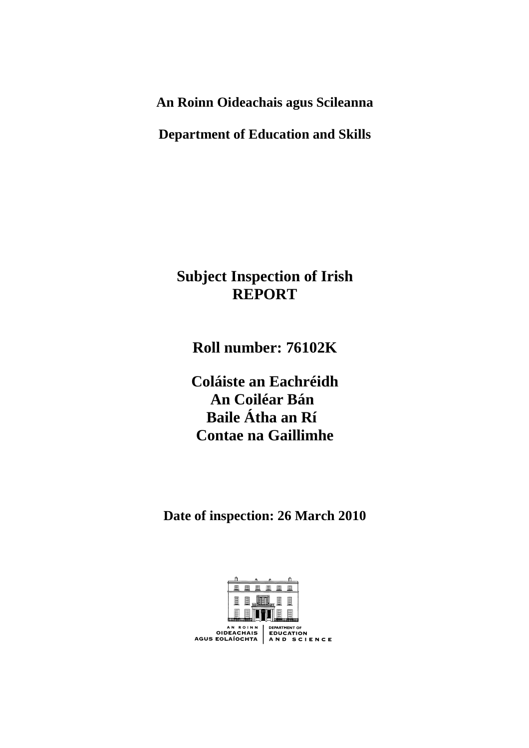**An Roinn Oideachais agus Scileanna** 

**Department of Education and Skills** 

# **Subject Inspection of Irish REPORT**

**Roll number: 76102K** 

**Coláiste an Eachréidh An Coiléar Bán Baile Átha an Rí Contae na Gaillimhe** 

**Date of inspection: 26 March 2010** 

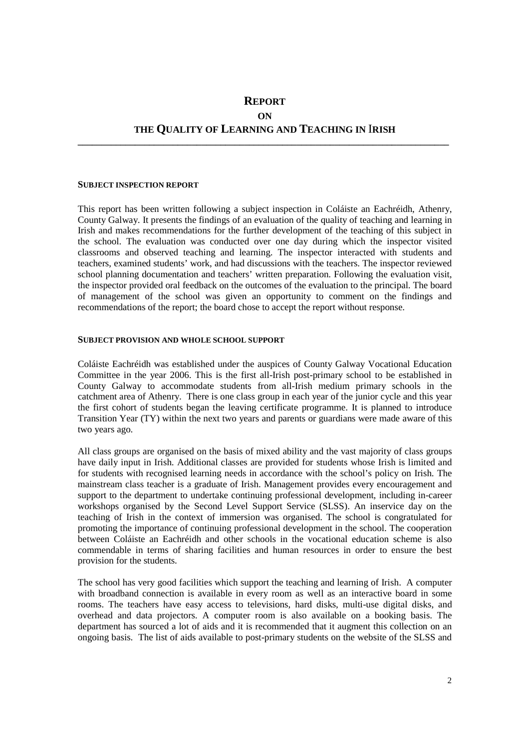## **REPORT ON THE QUALITY OF LEARNING AND TEACHING IN** I**RISH**

**\_\_\_\_\_\_\_\_\_\_\_\_\_\_\_\_\_\_\_\_\_\_\_\_\_\_\_\_\_\_\_\_\_\_\_\_\_\_\_\_\_\_\_\_\_\_\_\_\_\_\_\_\_\_\_\_\_\_\_\_\_\_\_\_\_\_\_\_\_\_\_\_\_\_\_\_\_\_** 

#### **SUBJECT INSPECTION REPORT**

This report has been written following a subject inspection in Coláiste an Eachréidh, Athenry, County Galway. It presents the findings of an evaluation of the quality of teaching and learning in Irish and makes recommendations for the further development of the teaching of this subject in the school. The evaluation was conducted over one day during which the inspector visited classrooms and observed teaching and learning. The inspector interacted with students and teachers, examined students' work, and had discussions with the teachers. The inspector reviewed school planning documentation and teachers' written preparation. Following the evaluation visit, the inspector provided oral feedback on the outcomes of the evaluation to the principal. The board of management of the school was given an opportunity to comment on the findings and recommendations of the report; the board chose to accept the report without response.

#### **SUBJECT PROVISION AND WHOLE SCHOOL SUPPORT**

Coláiste Eachréidh was established under the auspices of County Galway Vocational Education Committee in the year 2006. This is the first all-Irish post-primary school to be established in County Galway to accommodate students from all-Irish medium primary schools in the catchment area of Athenry. There is one class group in each year of the junior cycle and this year the first cohort of students began the leaving certificate programme. It is planned to introduce Transition Year (TY) within the next two years and parents or guardians were made aware of this two years ago.

All class groups are organised on the basis of mixed ability and the vast majority of class groups have daily input in Irish. Additional classes are provided for students whose Irish is limited and for students with recognised learning needs in accordance with the school's policy on Irish. The mainstream class teacher is a graduate of Irish. Management provides every encouragement and support to the department to undertake continuing professional development, including in-career workshops organised by the Second Level Support Service (SLSS). An inservice day on the teaching of Irish in the context of immersion was organised. The school is congratulated for promoting the importance of continuing professional development in the school. The cooperation between Coláiste an Eachréidh and other schools in the vocational education scheme is also commendable in terms of sharing facilities and human resources in order to ensure the best provision for the students.

The school has very good facilities which support the teaching and learning of Irish. A computer with broadband connection is available in every room as well as an interactive board in some rooms. The teachers have easy access to televisions, hard disks, multi-use digital disks, and overhead and data projectors. A computer room is also available on a booking basis. The department has sourced a lot of aids and it is recommended that it augment this collection on an ongoing basis. The list of aids available to post-primary students on the website of the SLSS and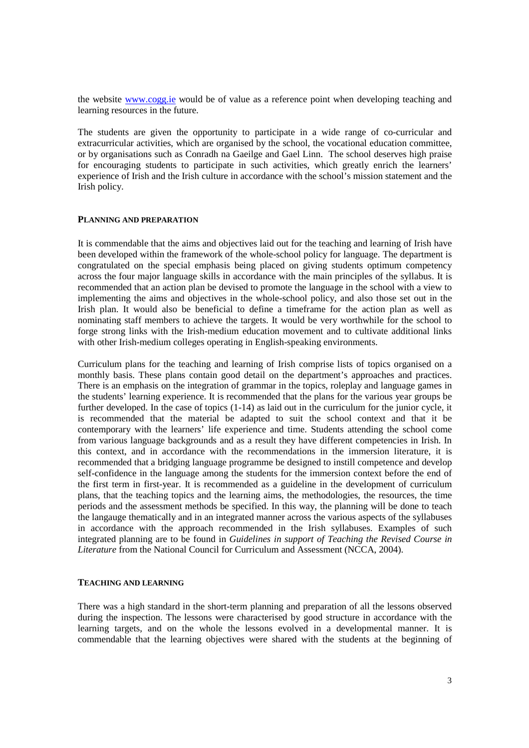the website www.cogg.ie would be of value as a reference point when developing teaching and learning resources in the future.

The students are given the opportunity to participate in a wide range of co-curricular and extracurricular activities, which are organised by the school, the vocational education committee, or by organisations such as Conradh na Gaeilge and Gael Linn. The school deserves high praise for encouraging students to participate in such activities, which greatly enrich the learners' experience of Irish and the Irish culture in accordance with the school's mission statement and the Irish policy.

#### **PLANNING AND PREPARATION**

It is commendable that the aims and objectives laid out for the teaching and learning of Irish have been developed within the framework of the whole-school policy for language. The department is congratulated on the special emphasis being placed on giving students optimum competency across the four major language skills in accordance with the main principles of the syllabus. It is recommended that an action plan be devised to promote the language in the school with a view to implementing the aims and objectives in the whole-school policy, and also those set out in the Irish plan. It would also be beneficial to define a timeframe for the action plan as well as nominating staff members to achieve the targets. It would be very worthwhile for the school to forge strong links with the Irish-medium education movement and to cultivate additional links with other Irish-medium colleges operating in English-speaking environments.

Curriculum plans for the teaching and learning of Irish comprise lists of topics organised on a monthly basis. These plans contain good detail on the department's approaches and practices. There is an emphasis on the integration of grammar in the topics, roleplay and language games in the students' learning experience. It is recommended that the plans for the various year groups be further developed. In the case of topics (1-14) as laid out in the curriculum for the junior cycle, it is recommended that the material be adapted to suit the school context and that it be contemporary with the learners' life experience and time. Students attending the school come from various language backgrounds and as a result they have different competencies in Irish. In this context, and in accordance with the recommendations in the immersion literature, it is recommended that a bridging language programme be designed to instill competence and develop self-confidence in the language among the students for the immersion context before the end of the first term in first-year. It is recommended as a guideline in the development of curriculum plans, that the teaching topics and the learning aims, the methodologies, the resources, the time periods and the assessment methods be specified. In this way, the planning will be done to teach the langauge thematically and in an integrated manner across the various aspects of the syllabuses in accordance with the approach recommended in the Irish syllabuses. Examples of such integrated planning are to be found in *Guidelines in support of Teaching the Revised Course in Literature* from the National Council for Curriculum and Assessment (NCCA, 2004).

#### **TEACHING AND LEARNING**

There was a high standard in the short-term planning and preparation of all the lessons observed during the inspection. The lessons were characterised by good structure in accordance with the learning targets, and on the whole the lessons evolved in a developmental manner. It is commendable that the learning objectives were shared with the students at the beginning of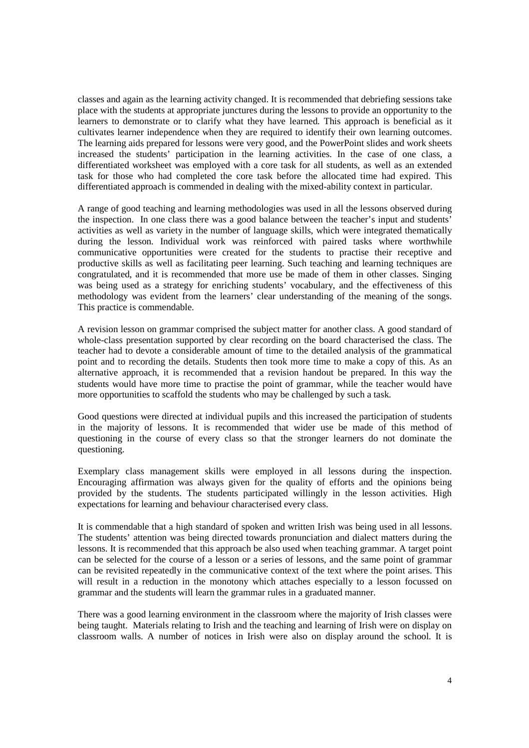classes and again as the learning activity changed. It is recommended that debriefing sessions take place with the students at appropriate junctures during the lessons to provide an opportunity to the learners to demonstrate or to clarify what they have learned. This approach is beneficial as it cultivates learner independence when they are required to identify their own learning outcomes. The learning aids prepared for lessons were very good, and the PowerPoint slides and work sheets increased the students' participation in the learning activities. In the case of one class, a differentiated worksheet was employed with a core task for all students, as well as an extended task for those who had completed the core task before the allocated time had expired. This differentiated approach is commended in dealing with the mixed-ability context in particular.

A range of good teaching and learning methodologies was used in all the lessons observed during the inspection. In one class there was a good balance between the teacher's input and students' activities as well as variety in the number of language skills, which were integrated thematically during the lesson. Individual work was reinforced with paired tasks where worthwhile communicative opportunities were created for the students to practise their receptive and productive skills as well as facilitating peer learning. Such teaching and learning techniques are congratulated, and it is recommended that more use be made of them in other classes. Singing was being used as a strategy for enriching students' vocabulary, and the effectiveness of this methodology was evident from the learners' clear understanding of the meaning of the songs. This practice is commendable.

A revision lesson on grammar comprised the subject matter for another class. A good standard of whole-class presentation supported by clear recording on the board characterised the class. The teacher had to devote a considerable amount of time to the detailed analysis of the grammatical point and to recording the details. Students then took more time to make a copy of this. As an alternative approach, it is recommended that a revision handout be prepared. In this way the students would have more time to practise the point of grammar, while the teacher would have more opportunities to scaffold the students who may be challenged by such a task.

Good questions were directed at individual pupils and this increased the participation of students in the majority of lessons. It is recommended that wider use be made of this method of questioning in the course of every class so that the stronger learners do not dominate the questioning.

Exemplary class management skills were employed in all lessons during the inspection. Encouraging affirmation was always given for the quality of efforts and the opinions being provided by the students. The students participated willingly in the lesson activities. High expectations for learning and behaviour characterised every class.

It is commendable that a high standard of spoken and written Irish was being used in all lessons. The students' attention was being directed towards pronunciation and dialect matters during the lessons. It is recommended that this approach be also used when teaching grammar. A target point can be selected for the course of a lesson or a series of lessons, and the same point of grammar can be revisited repeatedly in the communicative context of the text where the point arises. This will result in a reduction in the monotony which attaches especially to a lesson focussed on grammar and the students will learn the grammar rules in a graduated manner.

There was a good learning environment in the classroom where the majority of Irish classes were being taught. Materials relating to Irish and the teaching and learning of Irish were on display on classroom walls. A number of notices in Irish were also on display around the school. It is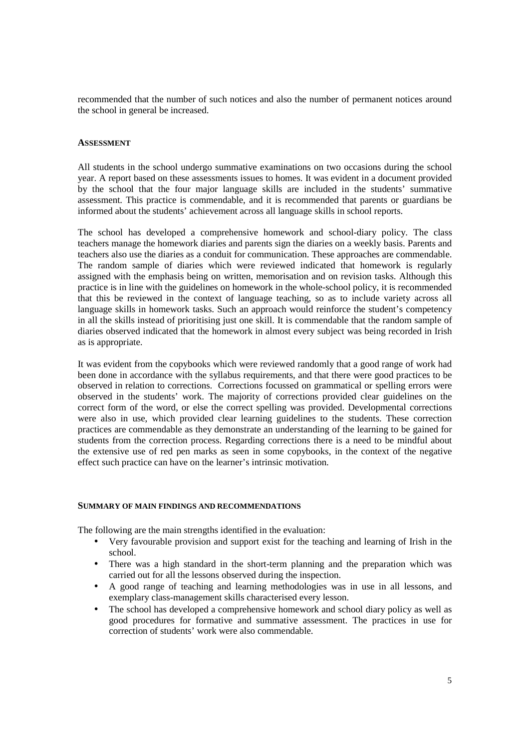recommended that the number of such notices and also the number of permanent notices around the school in general be increased.

### **ASSESSMENT**

All students in the school undergo summative examinations on two occasions during the school year. A report based on these assessments issues to homes. It was evident in a document provided by the school that the four major language skills are included in the students' summative assessment. This practice is commendable, and it is recommended that parents or guardians be informed about the students' achievement across all language skills in school reports.

The school has developed a comprehensive homework and school-diary policy. The class teachers manage the homework diaries and parents sign the diaries on a weekly basis. Parents and teachers also use the diaries as a conduit for communication. These approaches are commendable. The random sample of diaries which were reviewed indicated that homework is regularly assigned with the emphasis being on written, memorisation and on revision tasks. Although this practice is in line with the guidelines on homework in the whole-school policy, it is recommended that this be reviewed in the context of language teaching, so as to include variety across all language skills in homework tasks. Such an approach would reinforce the student's competency in all the skills instead of prioritising just one skill. It is commendable that the random sample of diaries observed indicated that the homework in almost every subject was being recorded in Irish as is appropriate.

It was evident from the copybooks which were reviewed randomly that a good range of work had been done in accordance with the syllabus requirements, and that there were good practices to be observed in relation to corrections. Corrections focussed on grammatical or spelling errors were observed in the students' work. The majority of corrections provided clear guidelines on the correct form of the word, or else the correct spelling was provided. Developmental corrections were also in use, which provided clear learning guidelines to the students. These correction practices are commendable as they demonstrate an understanding of the learning to be gained for students from the correction process. Regarding corrections there is a need to be mindful about the extensive use of red pen marks as seen in some copybooks, in the context of the negative effect such practice can have on the learner's intrinsic motivation.

#### **SUMMARY OF MAIN FINDINGS AND RECOMMENDATIONS**

The following are the main strengths identified in the evaluation:

- Very favourable provision and support exist for the teaching and learning of Irish in the school.
- There was a high standard in the short-term planning and the preparation which was carried out for all the lessons observed during the inspection.
- A good range of teaching and learning methodologies was in use in all lessons, and exemplary class-management skills characterised every lesson.
- The school has developed a comprehensive homework and school diary policy as well as good procedures for formative and summative assessment. The practices in use for correction of students' work were also commendable.